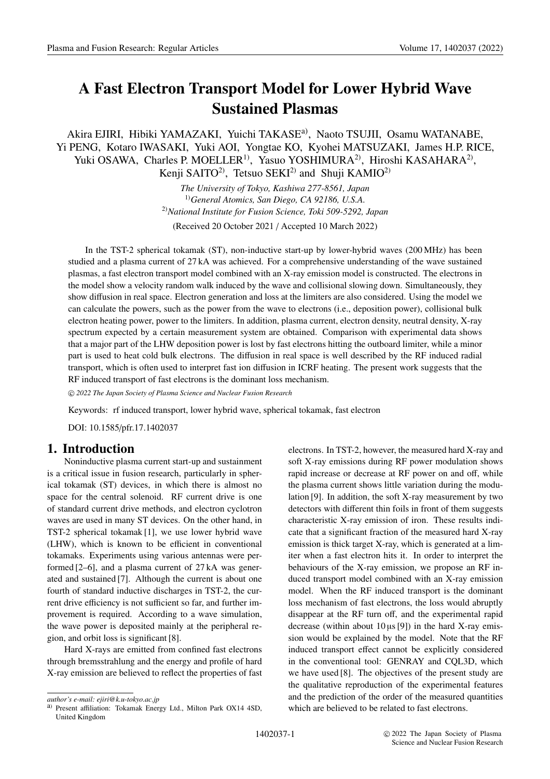# **A Fast Electron Transport Model for Lower Hybrid Wave Sustained Plasmas**

Akira EJIRI, Hibiki YAMAZAKI, Yuichi TAKASE<sup>a)</sup>, Naoto TSUJII, Osamu WATANABE, Yi PENG, Kotaro IWASAKI, Yuki AOI, Yongtae KO, Kyohei MATSUZAKI, James H.P. RICE, Yuki OSAWA, Charles P. MOELLER<sup>1)</sup>, Yasuo YOSHIMURA<sup>2)</sup>, Hiroshi KASAHARA<sup>2)</sup>, Kenji SAITO<sup>2)</sup>, Tetsuo SEKI<sup>2)</sup> and Shuji KAMIO<sup>2)</sup>

> *The University of Tokyo, Kashiwa 277-8561, Japan* 1)*General Atomics, San Diego, CA 92186, U.S.A.* 2)*National Institute for Fusion Science, Toki 509-5292, Japan*

(Received 20 October 2021 / Accepted 10 March 2022)

In the TST-2 spherical tokamak (ST), non-inductive start-up by lower-hybrid waves (200 MHz) has been studied and a plasma current of 27 kA was achieved. For a comprehensive understanding of the wave sustained plasmas, a fast electron transport model combined with an X-ray emission model is constructed. The electrons in the model show a velocity random walk induced by the wave and collisional slowing down. Simultaneously, they show diffusion in real space. Electron generation and loss at the limiters are also considered. Using the model we can calculate the powers, such as the power from the wave to electrons (i.e., deposition power), collisional bulk electron heating power, power to the limiters. In addition, plasma current, electron density, neutral density, X-ray spectrum expected by a certain measurement system are obtained. Comparison with experimental data shows that a major part of the LHW deposition power is lost by fast electrons hitting the outboard limiter, while a minor part is used to heat cold bulk electrons. The diffusion in real space is well described by the RF induced radial transport, which is often used to interpret fast ion diffusion in ICRF heating. The present work suggests that the RF induced transport of fast electrons is the dominant loss mechanism.

-c *2022 The Japan Society of Plasma Science and Nuclear Fusion Research*

Keywords: rf induced transport, lower hybrid wave, spherical tokamak, fast electron

DOI: 10.1585/pfr.17.1402037

# **1. Introduction**

Noninductive plasma current start-up and sustainment is a critical issue in fusion research, particularly in spherical tokamak (ST) devices, in which there is almost no space for the central solenoid. RF current drive is one of standard current drive methods, and electron cyclotron waves are used in many ST devices. On the other hand, in TST-2 spherical tokamak [1], we use lower hybrid wave (LHW), which is known to be efficient in conventional tokamaks. Experiments using various antennas were performed [2–6], and a plasma current of 27 kA was generated and sustained [7]. Although the current is about one fourth of standard inductive discharges in TST-2, the current drive efficiency is not sufficient so far, and further improvement is required. According to a wave simulation, the wave power is deposited mainly at the peripheral region, and orbit loss is significant [8].

Hard X-rays are emitted from confined fast electrons through bremsstrahlung and the energy and profile of hard X-ray emission are believed to reflect the properties of fast electrons. In TST-2, however, the measured hard X-ray and soft X-ray emissions during RF power modulation shows rapid increase or decrease at RF power on and off, while the plasma current shows little variation during the modulation [9]. In addition, the soft X-ray measurement by two detectors with different thin foils in front of them suggests characteristic X-ray emission of iron. These results indicate that a significant fraction of the measured hard X-ray emission is thick target X-ray, which is generated at a limiter when a fast electron hits it. In order to interpret the behaviours of the X-ray emission, we propose an RF induced transport model combined with an X-ray emission model. When the RF induced transport is the dominant loss mechanism of fast electrons, the loss would abruptly disappear at the RF turn off, and the experimental rapid decrease (within about  $10 \mu s$  [9]) in the hard X-ray emission would be explained by the model. Note that the RF induced transport effect cannot be explicitly considered in the conventional tool: GENRAY and CQL3D, which we have used [8]. The objectives of the present study are the qualitative reproduction of the experimental features and the prediction of the order of the measured quantities which are believed to be related to fast electrons.

*author's e-mail: ejiri@k.u-tokyo.ac.jp*

a) Present affiliation: Tokamak Energy Ltd., Milton Park OX14 4SD, United Kingdom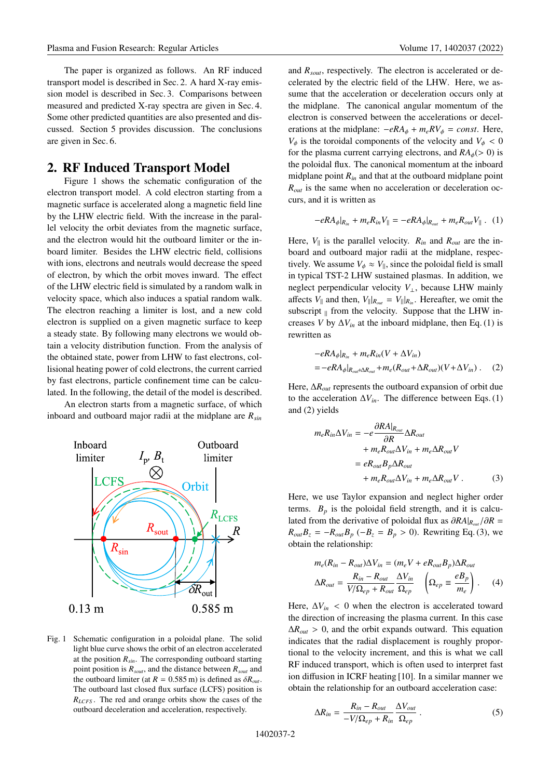The paper is organized as follows. An RF induced transport model is described in Sec. 2. A hard X-ray emission model is described in Sec. 3. Comparisons between measured and predicted X-ray spectra are given in Sec. 4. Some other predicted quantities are also presented and discussed. Section 5 provides discussion. The conclusions are given in Sec. 6.

#### **2. RF Induced Transport Model**

Figure 1 shows the schematic configuration of the electron transport model. A cold electron starting from a magnetic surface is accelerated along a magnetic field line by the LHW electric field. With the increase in the parallel velocity the orbit deviates from the magnetic surface, and the electron would hit the outboard limiter or the inboard limiter. Besides the LHW electric field, collisions with ions, electrons and neutrals would decrease the speed of electron, by which the orbit moves inward. The effect of the LHW electric field is simulated by a random walk in velocity space, which also induces a spatial random walk. The electron reaching a limiter is lost, and a new cold electron is supplied on a given magnetic surface to keep a steady state. By following many electrons we would obtain a velocity distribution function. From the analysis of the obtained state, power from LHW to fast electrons, collisional heating power of cold electrons, the current carried by fast electrons, particle confinement time can be calculated. In the following, the detail of the model is described.

An electron starts from a magnetic surface, of which inboard and outboard major radii at the midplane are *Rsin*



Fig. 1 Schematic configuration in a poloidal plane. The solid light blue curve shows the orbit of an electron accelerated at the position  $R_{sin}$ . The corresponding outboard starting point position is *Rsout*, and the distance between *Rsout* and the outboard limiter (at  $R = 0.585$  m) is defined as  $\delta R_{out}$ . The outboard last closed flux surface (LCFS) position is *RLCFS* . The red and orange orbits show the cases of the outboard deceleration and acceleration, respectively.

and *Rsout*, respectively. The electron is accelerated or decelerated by the electric field of the LHW. Here, we assume that the acceleration or deceleration occurs only at the midplane. The canonical angular momentum of the electron is conserved between the accelerations or decelerations at the midplane:  $-eRA_{\phi} + m_eRV_{\phi} = const.$  Here,  $V_{\phi}$  is the toroidal components of the velocity and  $V_{\phi} < 0$ for the plasma current carrying electrons, and  $RA_{\phi}(>0)$  is the poloidal flux. The canonical momentum at the inboard midplane point *Rin* and that at the outboard midplane point *Rout* is the same when no acceleration or deceleration occurs, and it is written as

$$
-eR A_{\phi}|_{R_{in}} + m_e R_{in} V_{\parallel} = -eR A_{\phi}|_{R_{out}} + m_e R_{out} V_{\parallel} . \quad (1)
$$

Here,  $V_{\parallel}$  is the parallel velocity.  $R_{in}$  and  $R_{out}$  are the inboard and outboard major radii at the midplane, respectively. We assume  $V_{\phi} \approx V_{\parallel}$ , since the poloidal field is small in typical TST-2 LHW sustained plasmas. In addition, we neglect perpendicular velocity *V*⊥, because LHW mainly affects  $V_{\parallel}$  and then,  $V_{\parallel}|_{R_{out}} = V_{\parallel}|_{R_{in}}$ . Hereafter, we omit the subscript  $\parallel$  from the velocity. Suppose that the LHW increases *V* by  $\Delta V_{in}$  at the inboard midplane, then Eq. (1) is rewritten as

$$
-eRA_{\phi}|_{R_{in}} + m_e R_{in}(V + \Delta V_{in})
$$
  
= 
$$
-eRA_{\phi}|_{R_{out} + \Delta R_{out}} + m_e (R_{out} + \Delta R_{out})(V + \Delta V_{in}).
$$
 (2)

Here,  $\Delta R_{out}$  represents the outboard expansion of orbit due to the acceleration  $\Delta V_{in}$ . The difference between Eqs. (1) and (2) yields

$$
m_e R_{in} \Delta V_{in} = -e \frac{\partial R A|_{R_{out}}}{\partial R} \Delta R_{out}
$$
  
+  $m_e R_{out} \Delta V_{in} + m_e \Delta R_{out} V$   
=  $e R_{out} B_p \Delta R_{out}$   
+  $m_e R_{out} \Delta V_{in} + m_e \Delta R_{out} V$ . (3)

Here, we use Taylor expansion and neglect higher order terms.  $B_p$  is the poloidal field strength, and it is calculated from the derivative of poloidal flux as ∂*RA*|*Rout*/∂*R* =  $R_{out}B_z = -R_{out}B_p$  (− $B_z = B_p > 0$ ). Rewriting Eq. (3), we obtain the relationship:

$$
m_e(R_{in} - R_{out})\Delta V_{in} = (m_e V + eR_{out}B_p)\Delta R_{out}
$$
  

$$
\Delta R_{out} = \frac{R_{in} - R_{out}}{V/\Omega_{ep} + R_{out}} \frac{\Delta V_{in}}{\Omega_{ep}} \left(\Omega_{ep} \equiv \frac{eB_p}{m_e}\right).
$$
 (4)

Here,  $\Delta V_{in}$  < 0 when the electron is accelerated toward the direction of increasing the plasma current. In this case  $\Delta R_{out} > 0$ , and the orbit expands outward. This equation indicates that the radial displacement is roughly proportional to the velocity increment, and this is what we call RF induced transport, which is often used to interpret fast ion diffusion in ICRF heating [10]. In a similar manner we obtain the relationship for an outboard acceleration case:

$$
\Delta R_{in} = \frac{R_{in} - R_{out}}{-V/\Omega_{ep} + R_{in}} \frac{\Delta V_{out}}{\Omega_{ep}} . \tag{5}
$$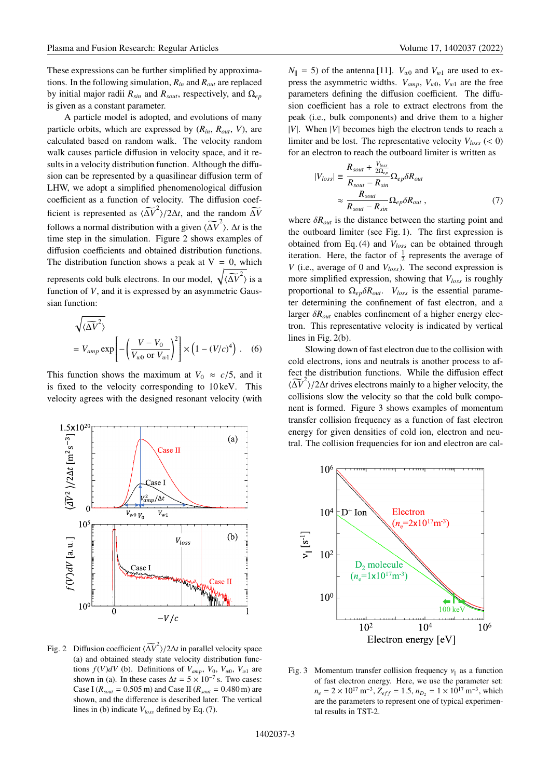These expressions can be further simplified by approximations. In the following simulation, *Rin* and *Rout* are replaced by initial major radii  $R_{sin}$  and  $R_{sout}$ , respectively, and  $\Omega_{ep}$ is given as a constant parameter.

A particle model is adopted, and evolutions of many particle orbits, which are expressed by  $(R_{in}, R_{out}, V)$ , are calculated based on random walk. The velocity random walk causes particle diffusion in velocity space, and it results in a velocity distribution function. Although the diffusion can be represented by a quasilinear diffusion term of LHW, we adopt a simplified phenomenological diffusion coefficient as a function of velocity. The diffusion coefficient is represented as  $\langle \Delta V^2 \rangle / 2\Delta t$ , and the random  $\Delta V$ follows a normal distribution with a given  $\langle \widetilde{\Delta V}^2 \rangle$ .  $\Delta t$  is the time step in the simulation. Figure 2 shows examples of diffusion coefficients and obtained distribution functions. The distribution function shows a peak at  $V = 0$ , which represents cold bulk electrons. In our model,  $\sqrt{\langle \widetilde{\Delta V}^2 \rangle}$  is a function of *V*, and it is expressed by an asymmetric Gaussian function:

$$
\sqrt{\langle \Delta V^2 \rangle}
$$
  
=  $V_{amp} \exp \left[ -\left(\frac{V - V_0}{V_{w0} \text{ or } V_{w1}}\right)^2 \right] \times \left(1 - (V/c)^4\right)$ . (6)

This function shows the maximum at  $V_0 \approx c/5$ , and it is fixed to the velocity corresponding to 10 keV. This velocity agrees with the designed resonant velocity (with



Fig. 2 Diffusion coefficient  $\langle \widetilde{\Delta V}^2 \rangle / 2\Delta t$  in parallel velocity space (a) and obtained steady state velocity distribution functions  $f(V)dV$  (b). Definitions of  $V_{amp}$ ,  $V_0$ ,  $V_{w0}$ ,  $V_{w1}$  are shown in (a). In these cases  $\Delta t = 5 \times 10^{-7}$  s. Two cases: Case I ( $R_{sout} = 0.505$  m) and Case II ( $R_{sout} = 0.480$  m) are shown, and the difference is described later. The vertical lines in (b) indicate *Vloss* defined by Eq. (7).

 $N_{\parallel}$  = 5) of the antenna [11]. *V*<sub>w0</sub> and *V*<sub>w1</sub> are used to express the asymmetric widths.  $V_{amp}$ ,  $V_{w0}$ ,  $V_{w1}$  are the free parameters defining the diffusion coefficient. The diffusion coefficient has a role to extract electrons from the peak (i.e., bulk components) and drive them to a higher |*V*|. When |*V*| becomes high the electron tends to reach a limiter and be lost. The representative velocity  $V_{loss}$  (< 0) for an electron to reach the outboard limiter is written as

$$
|V_{loss}| \equiv \frac{R_{sout} + \frac{V_{loss}}{2\Omega_{ep}}}{R_{sout} - R_{sin}} \Omega_{ep} \delta R_{out}
$$

$$
\approx \frac{R_{sout}}{R_{sout} - R_{sin}} \Omega_{ep} \delta R_{out} , \qquad (7)
$$

where  $\delta R_{out}$  is the distance between the starting point and the outboard limiter (see Fig. 1). The first expression is obtained from Eq. (4) and *Vloss* can be obtained through iteration. Here, the factor of  $\frac{1}{2}$  represents the average of *V* (i.e., average of 0 and  $V_{loss}$ ). The second expression is more simplified expression, showing that *Vloss* is roughly proportional to Ω*ep*δ*Rout*. *Vloss* is the essential parameter determining the confinement of fast electron, and a larger  $\delta R_{out}$  enables confinement of a higher energy electron. This representative velocity is indicated by vertical lines in Fig. 2(b).

Slowing down of fast electron due to the collision with cold electrons, ions and neutrals is another process to affect the distribution functions. While the diffusion effect  $\langle \widetilde{\Delta V}^2 \rangle / 2 \Delta t$  drives electrons mainly to a higher velocity, the collisions slow the velocity so that the cold bulk component is formed. Figure 3 shows examples of momentum transfer collision frequency as a function of fast electron energy for given densities of cold ion, electron and neutral. The collision frequencies for ion and electron are cal-



Fig. 3 Momentum transfer collision frequency  $v_{\parallel}$  as a function of fast electron energy. Here, we use the parameter set:  $n_e = 2 \times 10^{17} \text{ m}^{-3}$ ,  $Z_{eff} = 1.5$ ,  $n_{D_2} = 1 \times 10^{17} \text{ m}^{-3}$ , which are the parameters to represent one of typical experimental results in TST-2.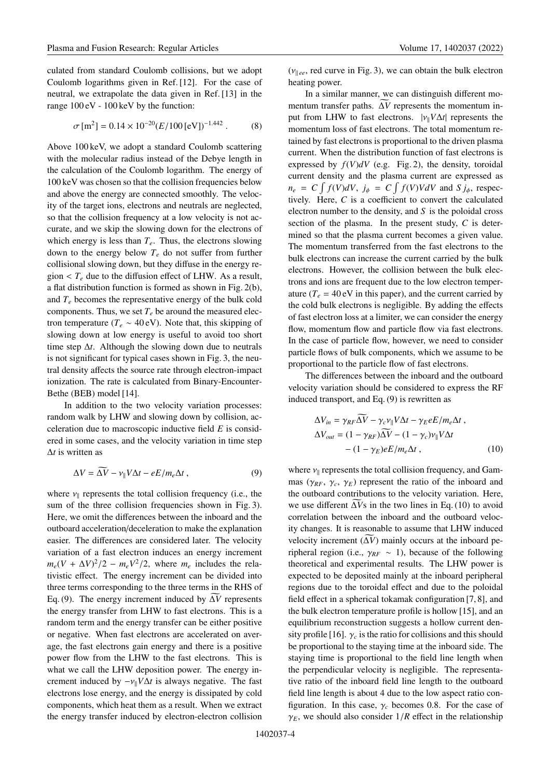culated from standard Coulomb collisions, but we adopt Coulomb logarithms given in Ref. [12]. For the case of neutral, we extrapolate the data given in Ref. [13] in the range 100 eV - 100 keV by the function:

$$
\sigma \,\mathrm{[m^2]} = 0.14 \times 10^{-20} (E/100 \,\mathrm{[eV]})^{-1.442} \,. \tag{8}
$$

Above 100 keV, we adopt a standard Coulomb scattering with the molecular radius instead of the Debye length in the calculation of the Coulomb logarithm. The energy of 100 keV was chosen so that the collision frequencies below and above the energy are connected smoothly. The velocity of the target ions, electrons and neutrals are neglected, so that the collision frequency at a low velocity is not accurate, and we skip the slowing down for the electrons of which energy is less than  $T_e$ . Thus, the electrons slowing down to the energy below *Te* do not suffer from further collisional slowing down, but they diffuse in the energy region  $\langle T_e$  due to the diffusion effect of LHW. As a result, a flat distribution function is formed as shown in Fig. 2(b), and  $T_e$  becomes the representative energy of the bulk cold components. Thus, we set  $T_e$  be around the measured electron temperature ( $T_e \sim 40 \text{ eV}$ ). Note that, this skipping of slowing down at low energy is useful to avoid too short time step  $\Delta t$ . Although the slowing down due to neutrals is not significant for typical cases shown in Fig. 3, the neutral density affects the source rate through electron-impact ionization. The rate is calculated from Binary-Encounter-Bethe (BEB) model [14].

In addition to the two velocity variation processes: random walk by LHW and slowing down by collision, acceleration due to macroscopic inductive field *E* is considered in some cases, and the velocity variation in time step Δ*t* is written as

$$
\Delta V = \Delta V - \nu_{\parallel} V \Delta t - eE/m_e \Delta t , \qquad (9)
$$

where  $v_{\parallel}$  represents the total collision frequency (i.e., the sum of the three collision frequencies shown in Fig. 3). Here, we omit the differences between the inboard and the outboard acceleration/deceleration to make the explanation easier. The differences are considered later. The velocity variation of a fast electron induces an energy increment  $m_e (V + \Delta V)^2 / 2 - m_e V^2 / 2$ , where  $m_e$  includes the relativistic effect. The energy increment can be divided into three terms corresponding to the three terms in the RHS of Eq. (9). The energy increment induced by  $\Delta V$  represents the energy transfer from LHW to fast electrons. This is a random term and the energy transfer can be either positive or negative. When fast electrons are accelerated on average, the fast electrons gain energy and there is a positive power flow from the LHW to the fast electrons. This is what we call the LHW deposition power. The energy increment induced by  $-v_{\parallel}V\Delta t$  is always negative. The fast electrons lose energy, and the energy is dissipated by cold components, which heat them as a result. When we extract the energy transfer induced by electron-electron collision

In a similar manner, we can distinguish different momentum transfer paths. Δ *V* represents the momentum input from LHW to fast electrons.  $|v_{\parallel}V\Delta t|$  represents the momentum loss of fast electrons. The total momentum retained by fast electrons is proportional to the driven plasma current. When the distribution function of fast electrons is expressed by  $f(V)dV$  (e.g. Fig. 2), the density, toroidal current density and the plasma current are expressed as  $n_e = C \int f(V) dV$ ,  $j_\phi = C \int f(V) V dV$  and  $S j_\phi$ , respectively. Here, *C* is a coefficient to convert the calculated electron number to the density, and *S* is the poloidal cross section of the plasma. In the present study, *C* is determined so that the plasma current becomes a given value. The momentum transferred from the fast electrons to the bulk electrons can increase the current carried by the bulk electrons. However, the collision between the bulk electrons and ions are frequent due to the low electron temperature  $(T_e = 40 \text{ eV}$  in this paper), and the current carried by the cold bulk electrons is negligible. By adding the effects of fast electron loss at a limiter, we can consider the energy flow, momentum flow and particle flow via fast electrons. In the case of particle flow, however, we need to consider particle flows of bulk components, which we assume to be proportional to the particle flow of fast electrons.

The differences between the inboard and the outboard velocity variation should be considered to express the RF induced transport, and Eq. (9) is rewritten as

$$
\Delta V_{in} = \gamma_{RF} \Delta \overline{V} - \gamma_c v_{\parallel} V \Delta t - \gamma_E e E / m_e \Delta t ,
$$
  
\n
$$
\Delta V_{out} = (1 - \gamma_{RF}) \Delta \overline{V} - (1 - \gamma_c) v_{\parallel} V \Delta t - (1 - \gamma_E) e E / m_e \Delta t ,
$$
\n(10)

where  $v_{\parallel}$  represents the total collision frequency, and Gammas ( $\gamma_{RF}, \gamma_c, \gamma_E$ ) represent the ratio of the inboard and the outboard contributions to the velocity variation. Here, we use different  $\Delta V$ s in the two lines in Eq. (10) to avoid correlation between the inboard and the outboard velocity changes. It is reasonable to assume that LHW induced velocity increment  $(\Delta V)$  mainly occurs at the inboard peripheral region (i.e.,  $\gamma_{RF} \sim 1$ ), because of the following theoretical and experimental results. The LHW power is expected to be deposited mainly at the inboard peripheral regions due to the toroidal effect and due to the poloidal field effect in a spherical tokamak configuration [7, 8], and the bulk electron temperature profile is hollow [15], and an equilibrium reconstruction suggests a hollow current density profile [16].  $\gamma_c$  is the ratio for collisions and this should be proportional to the staying time at the inboard side. The staying time is proportional to the field line length when the perpendicular velocity is negligible. The representative ratio of the inboard field line length to the outboard field line length is about 4 due to the low aspect ratio configuration. In this case,  $\gamma_c$  becomes 0.8. For the case of  $\gamma_E$ , we should also consider  $1/R$  effect in the relationship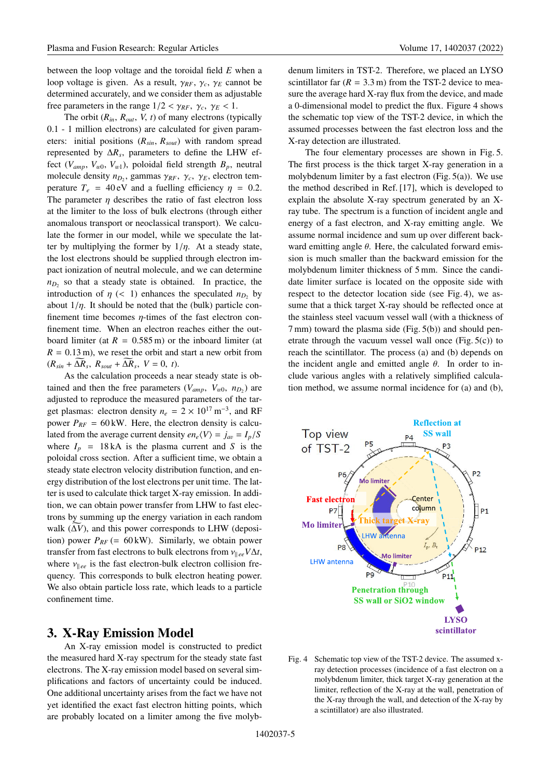between the loop voltage and the toroidal field *E* when a loop voltage is given. As a result,  $\gamma_{RF}$ ,  $\gamma_c$ ,  $\gamma_E$  cannot be determined accurately, and we consider them as adjustable free parameters in the range  $1/2 < \gamma_{RF}$ ,  $\gamma_c$ ,  $\gamma_E < 1$ .

The orbit  $(R_{in}, R_{out}, V, t)$  of many electrons (typically 0.1 - 1 million electrons) are calculated for given parameters: initial positions (*Rsin*, *Rsout*) with random spread represented by  $\Delta R_s$ , parameters to define the LHW effect ( $V_{amp}$ ,  $V_{w0}$ ,  $V_{w1}$ ), poloidal field strength  $B_p$ , neutral molecule density  $n_{D_2}$ , gammas  $\gamma_{RF}$ ,  $\gamma_c$ ,  $\gamma_E$ , electron temperature  $T_e = 40 \text{ eV}$  and a fuelling efficiency  $\eta = 0.2$ . The parameter  $\eta$  describes the ratio of fast electron loss at the limiter to the loss of bulk electrons (through either anomalous transport or neoclassical transport). We calculate the former in our model, while we speculate the latter by multiplying the former by  $1/\eta$ . At a steady state, the lost electrons should be supplied through electron impact ionization of neutral molecule, and we can determine  $n_D$ , so that a steady state is obtained. In practice, the introduction of  $\eta$  (< 1) enhances the speculated  $n_{D_2}$  by about  $1/\eta$ . It should be noted that the (bulk) particle confinement time becomes  $\eta$ -times of the fast electron confinement time. When an electron reaches either the outboard limiter (at  $R = 0.585$  m) or the inboard limiter (at  $R = 0.13$  m), we reset the orbit and start a new orbit from  $(R_{sin} + \Delta R_s, R_{sout} + \Delta R_s, V = 0, t).$ 

As the calculation proceeds a near steady state is obtained and then the free parameters ( $V_{amp}$ ,  $V_{w0}$ ,  $n_{D2}$ ) are adjusted to reproduce the measured parameters of the target plasmas: electron density  $n_e = 2 \times 10^{17} \text{ m}^{-3}$ , and RF power  $P_{RF} = 60 \text{ kW}$ . Here, the electron density is calculated from the average current density  $en_e \langle V \rangle = j_{av} = I_p / S$ where  $I_p = 18kA$  is the plasma current and *S* is the poloidal cross section. After a sufficient time, we obtain a steady state electron velocity distribution function, and energy distribution of the lost electrons per unit time. The latter is used to calculate thick target X-ray emission. In addition, we can obtain power transfer from LHW to fast electrons by summing up the energy variation in each random walk (Δ *V*), and this power corresponds to LHW (deposition) power  $P_{RF}$  (= 60 kW). Similarly, we obtain power transfer from fast electrons to bulk electrons from  $v_{\parallel ee}V\Delta t$ , where  $v_{\parallel ee}$  is the fast electron-bulk electron collision frequency. This corresponds to bulk electron heating power. We also obtain particle loss rate, which leads to a particle confinement time.

## **3. X-Ray Emission Model**

An X-ray emission model is constructed to predict the measured hard X-ray spectrum for the steady state fast electrons. The X-ray emission model based on several simplifications and factors of uncertainty could be induced. One additional uncertainty arises from the fact we have not yet identified the exact fast electron hitting points, which are probably located on a limiter among the five molybdenum limiters in TST-2. Therefore, we placed an LYSO scintillator far  $(R = 3.3 \text{ m})$  from the TST-2 device to measure the average hard X-ray flux from the device, and made a 0-dimensional model to predict the flux. Figure 4 shows the schematic top view of the TST-2 device, in which the assumed processes between the fast electron loss and the X-ray detection are illustrated.

The four elementary processes are shown in Fig. 5. The first process is the thick target X-ray generation in a molybdenum limiter by a fast electron (Fig.  $5(a)$ ). We use the method described in Ref. [17], which is developed to explain the absolute X-ray spectrum generated by an Xray tube. The spectrum is a function of incident angle and energy of a fast electron, and X-ray emitting angle. We assume normal incidence and sum up over different backward emitting angle  $\theta$ . Here, the calculated forward emission is much smaller than the backward emission for the molybdenum limiter thickness of 5 mm. Since the candidate limiter surface is located on the opposite side with respect to the detector location side (see Fig. 4), we assume that a thick target X-ray should be reflected once at the stainless steel vacuum vessel wall (with a thickness of 7 mm) toward the plasma side (Fig. 5(b)) and should penetrate through the vacuum vessel wall once (Fig.  $5(c)$ ) to reach the scintillator. The process (a) and (b) depends on the incident angle and emitted angle  $\theta$ . In order to include various angles with a relatively simplified calculation method, we assume normal incidence for (a) and (b),



Fig. 4 Schematic top view of the TST-2 device. The assumed xray detection processes (incidence of a fast electron on a molybdenum limiter, thick target X-ray generation at the limiter, reflection of the X-ray at the wall, penetration of the X-ray through the wall, and detection of the X-ray by a scintillator) are also illustrated.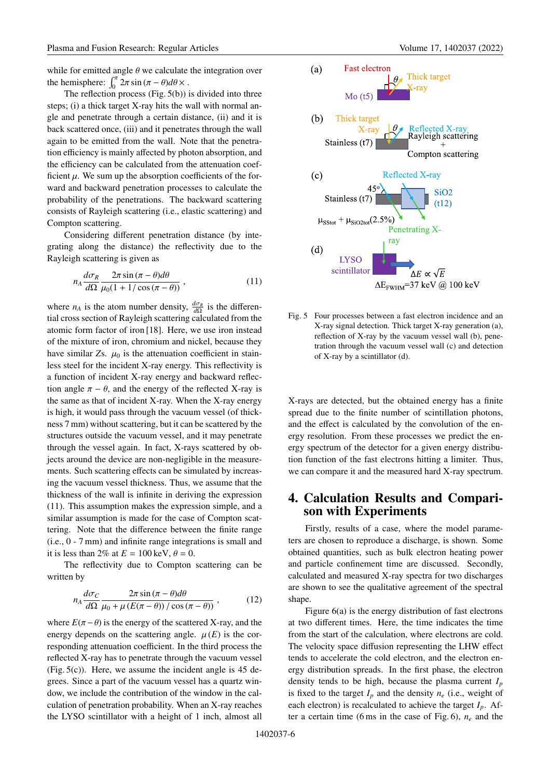while for emitted angle  $\theta$  we calculate the integration over the hemisphere:  $\int_0^{\pi} 2\pi \sin(\pi - \theta) d\theta \times$ .

The reflection process (Fig. 5(b)) is divided into three steps; (i) a thick target X-ray hits the wall with normal angle and penetrate through a certain distance, (ii) and it is back scattered once, (iii) and it penetrates through the wall again to be emitted from the wall. Note that the penetration efficiency is mainly affected by photon absorption, and the efficiency can be calculated from the attenuation coefficient  $\mu$ . We sum up the absorption coefficients of the forward and backward penetration processes to calculate the probability of the penetrations. The backward scattering consists of Rayleigh scattering (i.e., elastic scattering) and Compton scattering.

Considering different penetration distance (by integrating along the distance) the reflectivity due to the Rayleigh scattering is given as

$$
n_A \frac{d\sigma_R}{d\Omega} \frac{2\pi \sin\left(\pi - \theta\right) d\theta}{\mu_0 (1 + 1/\cos\left(\pi - \theta\right))},\tag{11}
$$

where  $n_A$  is the atom number density,  $\frac{d\sigma_R}{d\Omega}$  is the differential cross section of Rayleigh scattering calculated from the atomic form factor of iron [18]. Here, we use iron instead of the mixture of iron, chromium and nickel, because they have similar  $Z_s$ .  $\mu_0$  is the attenuation coefficient in stainless steel for the incident X-ray energy. This reflectivity is a function of incident X-ray energy and backward reflection angle  $\pi - \theta$ , and the energy of the reflected X-ray is the same as that of incident X-ray. When the X-ray energy is high, it would pass through the vacuum vessel (of thickness 7 mm) without scattering, but it can be scattered by the structures outside the vacuum vessel, and it may penetrate through the vessel again. In fact, X-rays scattered by objects around the device are non-negligible in the measurements. Such scattering effects can be simulated by increasing the vacuum vessel thickness. Thus, we assume that the thickness of the wall is infinite in deriving the expression (11). This assumption makes the expression simple, and a similar assumption is made for the case of Compton scattering. Note that the difference between the finite range (i.e., 0 - 7 mm) and infinite range integrations is small and it is less than 2% at  $E = 100 \text{ keV}, \theta = 0$ .

The reflectivity due to Compton scattering can be written by

$$
n_A \frac{d\sigma_C}{d\Omega} \frac{2\pi \sin(\pi - \theta) d\theta}{\mu_0 + \mu (E(\pi - \theta)) / \cos(\pi - \theta))},
$$
 (12)

where  $E(\pi - \theta)$  is the energy of the scattered X-ray, and the energy depends on the scattering angle.  $\mu(E)$  is the corresponding attenuation coefficient. In the third process the reflected X-ray has to penetrate through the vacuum vessel  $(Fig. 5(c))$ . Here, we assume the incident angle is 45 degrees. Since a part of the vacuum vessel has a quartz window, we include the contribution of the window in the calculation of penetration probability. When an X-ray reaches the LYSO scintillator with a height of 1 inch, almost all



Fig. 5 Four processes between a fast electron incidence and an X-ray signal detection. Thick target X-ray generation (a), reflection of X-ray by the vacuum vessel wall (b), penetration through the vacuum vessel wall (c) and detection of X-ray by a scintillator (d).

X-rays are detected, but the obtained energy has a finite spread due to the finite number of scintillation photons, and the effect is calculated by the convolution of the energy resolution. From these processes we predict the energy spectrum of the detector for a given energy distribution function of the fast electrons hitting a limiter. Thus, we can compare it and the measured hard X-ray spectrum.

# **4. Calculation Results and Comparison with Experiments**

Firstly, results of a case, where the model parameters are chosen to reproduce a discharge, is shown. Some obtained quantities, such as bulk electron heating power and particle confinement time are discussed. Secondly, calculated and measured X-ray spectra for two discharges are shown to see the qualitative agreement of the spectral shape.

Figure 6(a) is the energy distribution of fast electrons at two different times. Here, the time indicates the time from the start of the calculation, where electrons are cold. The velocity space diffusion representing the LHW effect tends to accelerate the cold electron, and the electron energy distribution spreads. In the first phase, the electron density tends to be high, because the plasma current *Ip* is fixed to the target  $I_p$  and the density  $n_e$  (i.e., weight of each electron) is recalculated to achieve the target *Ip*. After a certain time (6 ms in the case of Fig. 6), *ne* and the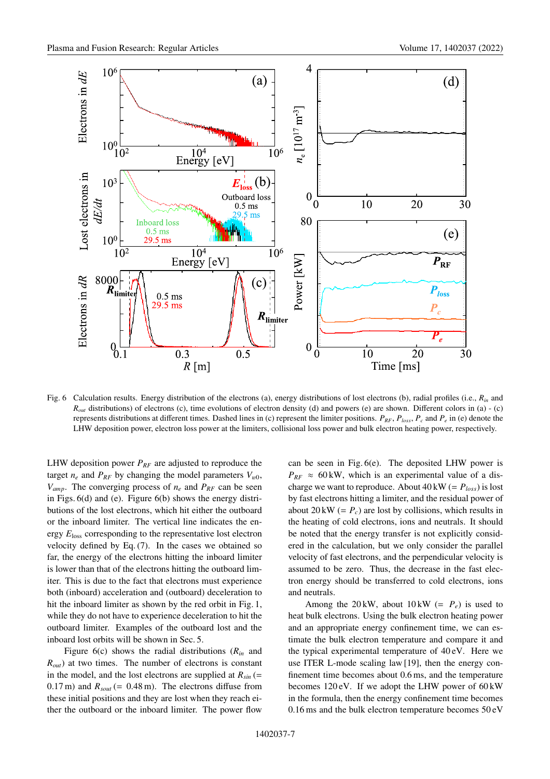

Fig. 6 Calculation results. Energy distribution of the electrons (a), energy distributions of lost electrons (b), radial profiles (i.e., *Rin* and *R<sub>out</sub>* distributions) of electrons (c), time evolutions of electron density (d) and powers (e) are shown. Different colors in (a) - (c) represents distributions at different times. Dashed lines in (c) represent the limiter positions.  $P_{RF}$ ,  $P_{loss}$ ,  $P_c$  and  $P_e$  in (e) denote the LHW deposition power, electron loss power at the limiters, collisional loss power and bulk electron heating power, respectively.

LHW deposition power  $P_{RF}$  are adjusted to reproduce the target  $n_e$  and  $P_{RF}$  by changing the model parameters  $V_{w0}$ ,  $V_{amp}$ . The converging process of  $n_e$  and  $P_{RF}$  can be seen in Figs. 6(d) and (e). Figure 6(b) shows the energy distributions of the lost electrons, which hit either the outboard or the inboard limiter. The vertical line indicates the energy *E*loss corresponding to the representative lost electron velocity defined by Eq. (7). In the cases we obtained so far, the energy of the electrons hitting the inboard limiter is lower than that of the electrons hitting the outboard limiter. This is due to the fact that electrons must experience both (inboard) acceleration and (outboard) deceleration to hit the inboard limiter as shown by the red orbit in Fig. 1, while they do not have to experience deceleration to hit the outboard limiter. Examples of the outboard lost and the inboard lost orbits will be shown in Sec. 5.

Figure 6(c) shows the radial distributions (*Rin* and *Rout*) at two times. The number of electrons is constant in the model, and the lost electrons are supplied at  $R_{sin}$  (= 0.17 m) and  $R_{sout}$  (= 0.48 m). The electrons diffuse from these initial positions and they are lost when they reach either the outboard or the inboard limiter. The power flow can be seen in Fig. 6(e). The deposited LHW power is  $P_{RF} \approx 60 \text{ kW}$ , which is an experimental value of a discharge we want to reproduce. About  $40 \text{ kW} (= P_{loss})$  is lost by fast electrons hitting a limiter, and the residual power of about  $20 \text{ kW} (= P_c)$  are lost by collisions, which results in the heating of cold electrons, ions and neutrals. It should be noted that the energy transfer is not explicitly considered in the calculation, but we only consider the parallel velocity of fast electrons, and the perpendicular velocity is assumed to be zero. Thus, the decrease in the fast electron energy should be transferred to cold electrons, ions and neutrals.

Among the 20 kW, about  $10 \text{ kW}$  (=  $P_e$ ) is used to heat bulk electrons. Using the bulk electron heating power and an appropriate energy confinement time, we can estimate the bulk electron temperature and compare it and the typical experimental temperature of 40 eV. Here we use ITER L-mode scaling law [19], then the energy confinement time becomes about 0.6 ms, and the temperature becomes  $120 \text{ eV}$ . If we adopt the LHW power of  $60 \text{ kW}$ in the formula, then the energy confinement time becomes 0.16 ms and the bulk electron temperature becomes 50 eV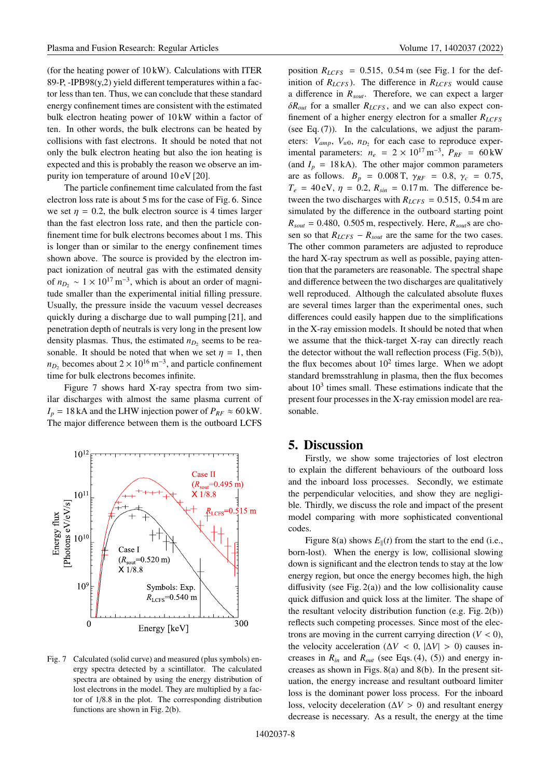(for the heating power of 10 kW). Calculations with ITER 89-P, -IPB98 $(y,2)$  yield different temperatures within a factor less than ten. Thus, we can conclude that these standard energy confinement times are consistent with the estimated bulk electron heating power of 10 kW within a factor of ten. In other words, the bulk electrons can be heated by collisions with fast electrons. It should be noted that not only the bulk electron heating but also the ion heating is expected and this is probably the reason we observe an impurity ion temperature of around 10 eV [20].

The particle confinement time calculated from the fast electron loss rate is about 5 ms for the case of Fig. 6. Since we set  $\eta = 0.2$ , the bulk electron source is 4 times larger than the fast electron loss rate, and then the particle confinement time for bulk electrons becomes about 1 ms. This is longer than or similar to the energy confinement times shown above. The source is provided by the electron impact ionization of neutral gas with the estimated density of  $n_{D_2} \sim 1 \times 10^{17} \,\mathrm{m}^{-3}$ , which is about an order of magnitude smaller than the experimental initial filling pressure. Usually, the pressure inside the vacuum vessel decreases quickly during a discharge due to wall pumping [21], and penetration depth of neutrals is very long in the present low density plasmas. Thus, the estimated  $n_D$ , seems to be reasonable. It should be noted that when we set  $\eta = 1$ , then  $n_{D_2}$  becomes about  $2 \times 10^{16}$  m<sup>-3</sup>, and particle confinement time for bulk electrons becomes infinite.

Figure 7 shows hard X-ray spectra from two similar discharges with almost the same plasma current of  $I_p = 18$  kA and the LHW injection power of  $P_{RF} \approx 60$  kW. The major difference between them is the outboard LCFS



Fig. 7 Calculated (solid curve) and measured (plus symbols) energy spectra detected by a scintillator. The calculated spectra are obtained by using the energy distribution of lost electrons in the model. They are multiplied by a factor of 1/8.8 in the plot. The corresponding distribution functions are shown in Fig. 2(b).

position  $R_{LCFS}$  = 0.515, 0.54 m (see Fig. 1 for the definition of  $R_{LCFS}$ ). The difference in  $R_{LCFS}$  would cause a difference in *Rsout*. Therefore, we can expect a larger δ*Rout* for a smaller *RLCFS* , and we can also expect confinement of a higher energy electron for a smaller *RLCFS* (see Eq. (7)). In the calculations, we adjust the parameters:  $V_{amp}$ ,  $V_{w0}$ ,  $n_{D_2}$  for each case to reproduce experimental parameters:  $n_e = 2 \times 10^{17} \text{ m}^{-3}$ ,  $P_{RF} = 60 \text{ kW}$ (and  $I_p = 18$  kA). The other major common parameters are as follows.  $B_p = 0.008$  T,  $\gamma_{RF} = 0.8$ ,  $\gamma_c = 0.75$ ,  $T_e = 40 \text{ eV}, \eta = 0.2, R_{sin} = 0.17 \text{ m}.$  The difference between the two discharges with  $R_{LCFS} = 0.515$ , 0.54 m are simulated by the difference in the outboard starting point  $R_{sout} = 0.480$ , 0.505 m, respectively. Here,  $R_{sout}$ s are chosen so that  $R_{LCFS} - R_{sout}$  are the same for the two cases. The other common parameters are adjusted to reproduce the hard X-ray spectrum as well as possible, paying attention that the parameters are reasonable. The spectral shape and difference between the two discharges are qualitatively well reproduced. Although the calculated absolute fluxes are several times larger than the experimental ones, such differences could easily happen due to the simplifications in the X-ray emission models. It should be noted that when we assume that the thick-target X-ray can directly reach the detector without the wall reflection process (Fig. 5(b)), the flux becomes about  $10^2$  times large. When we adopt standard bremsstrahlung in plasma, then the flux becomes about  $10<sup>3</sup>$  times small. These estimations indicate that the present four processes in the X-ray emission model are reasonable.

#### **5. Discussion**

Firstly, we show some trajectories of lost electron to explain the different behaviours of the outboard loss and the inboard loss processes. Secondly, we estimate the perpendicular velocities, and show they are negligible. Thirdly, we discuss the role and impact of the present model comparing with more sophisticated conventional codes.

Figure 8(a) shows  $E_{\parallel}(t)$  from the start to the end (i.e., born-lost). When the energy is low, collisional slowing down is significant and the electron tends to stay at the low energy region, but once the energy becomes high, the high diffusivity (see Fig. 2(a)) and the low collisionality cause quick diffusion and quick loss at the limiter. The shape of the resultant velocity distribution function (e.g. Fig. 2(b)) reflects such competing processes. Since most of the electrons are moving in the current carrying direction  $(V < 0)$ , the velocity acceleration ( $\Delta V < 0$ ,  $|\Delta V| > 0$ ) causes increases in  $R_{in}$  and  $R_{out}$  (see Eqs. (4), (5)) and energy increases as shown in Figs. 8(a) and 8(b). In the present situation, the energy increase and resultant outboard limiter loss is the dominant power loss process. For the inboard loss, velocity deceleration ( $\Delta V > 0$ ) and resultant energy decrease is necessary. As a result, the energy at the time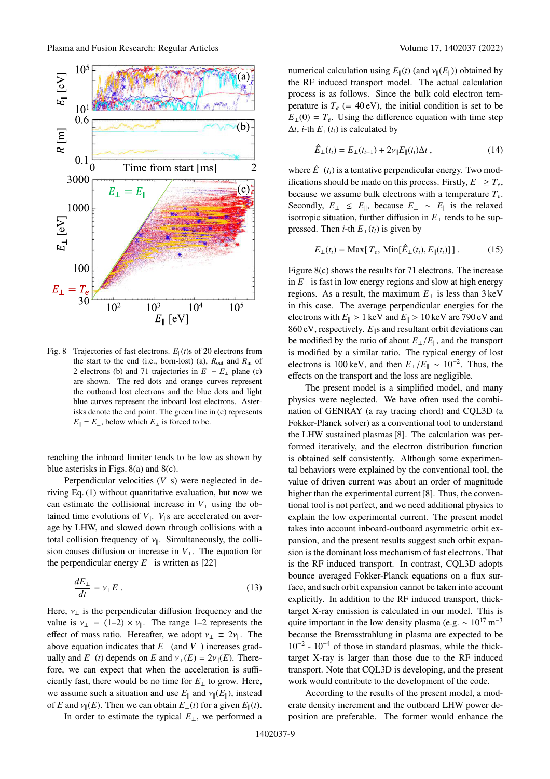

Fig. 8 Trajectories of fast electrons.  $E_{\parallel}(t)$ s of 20 electrons from the start to the end (i.e., born-lost) (a),  $R_{\text{out}}$  and  $R_{\text{in}}$  of 2 electrons (b) and 71 trajectories in  $E_{\parallel} - E_{\perp}$  plane (c) are shown. The red dots and orange curves represent the outboard lost electrons and the blue dots and light blue curves represent the inboard lost electrons. Asterisks denote the end point. The green line in (c) represents  $E_{\parallel} = E_{\perp}$ , below which  $E_{\perp}$  is forced to be.

reaching the inboard limiter tends to be low as shown by blue asterisks in Figs. 8(a) and 8(c).

Perpendicular velocities  $(V_1 s)$  were neglected in deriving Eq. (1) without quantitative evaluation, but now we can estimate the collisional increase in  $V_{\perp}$  using the obtained time evolutions of  $V_{\parallel}$ .  $V_{\parallel}$ s are accelerated on average by LHW, and slowed down through collisions with a total collision frequency of  $v_{\parallel}$ . Simultaneously, the collision causes diffusion or increase in *V*⊥. The equation for the perpendicular energy  $E_{\perp}$  is written as [22]

$$
\frac{dE_{\perp}}{dt} = v_{\perp}E\,. \tag{13}
$$

Here,  $v_{\perp}$  is the perpendicular diffusion frequency and the value is  $v_{\perp} = (1-2) \times v_{\parallel}$ . The range 1–2 represents the effect of mass ratio. Hereafter, we adopt  $v_{\perp} = 2v_{\parallel}$ . The above equation indicates that  $E_{\perp}$  (and  $V_{\perp}$ ) increases gradually and  $E_{\perp}(t)$  depends on *E* and  $v_{\perp}(E) = 2v_{\parallel}(E)$ . Therefore, we can expect that when the acceleration is sufficiently fast, there would be no time for  $E_{\perp}$  to grow. Here, we assume such a situation and use  $E_{\parallel}$  and  $v_{\parallel}(E_{\parallel})$ , instead of *E* and  $v_{\parallel}(E)$ . Then we can obtain  $E_{\perp}(t)$  for a given  $E_{\parallel}(t)$ .

In order to estimate the typical  $E_{\perp}$ , we performed a

numerical calculation using  $E_{\parallel}(t)$  (and  $v_{\parallel}(E_{\parallel})$ ) obtained by the RF induced transport model. The actual calculation process is as follows. Since the bulk cold electron temperature is  $T_e$  (= 40 eV), the initial condition is set to be  $E_{\perp}(0) = T_e$ . Using the difference equation with time step  $\Delta t$ , *i*-th  $E_{\perp}(t_i)$  is calculated by

$$
\hat{E}_{\perp}(t_i) = E_{\perp}(t_{i-1}) + 2\nu_{\parallel}E_{\parallel}(t_i)\Delta t , \qquad (14)
$$

where  $\hat{E}_{\perp}(t_i)$  is a tentative perpendicular energy. Two modifications should be made on this process. Firstly,  $E_{\perp} \geq T_e$ , because we assume bulk electrons with a temperature *Te*. Secondly,  $E_{\perp} \leq E_{\parallel}$ , because  $E_{\perp} \sim E_{\parallel}$  is the relaxed isotropic situation, further diffusion in  $E_{\perp}$  tends to be suppressed. Then *i*-th  $E_{\perp}(t_i)$  is given by

$$
E_{\perp}(t_i) = \text{Max}[T_e, \text{Min}[\hat{E}_{\perp}(t_i), E_{\parallel}(t_i)]]. \tag{15}
$$

Figure 8(c) shows the results for 71 electrons. The increase in  $E_{\perp}$  is fast in low energy regions and slow at high energy regions. As a result, the maximum  $E_{\perp}$  is less than 3 keV in this case. The average perpendicular energies for the electrons with  $E_{\parallel} > 1$  keV and  $E_{\parallel} > 10$  keV are 790 eV and 860 eV, respectively.  $E_{\parallel}$ s and resultant orbit deviations can be modified by the ratio of about  $E_{\perp}/E_{\parallel}$ , and the transport is modified by a similar ratio. The typical energy of lost electrons is 100 keV, and then  $E_{\perp}/E_{\parallel} \sim 10^{-2}$ . Thus, the effects on the transport and the loss are negligible.

The present model is a simplified model, and many physics were neglected. We have often used the combination of GENRAY (a ray tracing chord) and CQL3D (a Fokker-Planck solver) as a conventional tool to understand the LHW sustained plasmas [8]. The calculation was performed iteratively, and the electron distribution function is obtained self consistently. Although some experimental behaviors were explained by the conventional tool, the value of driven current was about an order of magnitude higher than the experimental current [8]. Thus, the conventional tool is not perfect, and we need additional physics to explain the low experimental current. The present model takes into account inboard-outboard asymmetric orbit expansion, and the present results suggest such orbit expansion is the dominant loss mechanism of fast electrons. That is the RF induced transport. In contrast, CQL3D adopts bounce averaged Fokker-Planck equations on a flux surface, and such orbit expansion cannot be taken into account explicitly. In addition to the RF induced transport, thicktarget X-ray emission is calculated in our model. This is quite important in the low density plasma (e.g.  $\sim 10^{17}$  m<sup>-3</sup> because the Bremsstrahlung in plasma are expected to be  $10^{-2}$  -  $10^{-4}$  of those in standard plasmas, while the thicktarget X-ray is larger than those due to the RF induced transport. Note that CQL3D is developing, and the present work would contribute to the development of the code.

According to the results of the present model, a moderate density increment and the outboard LHW power deposition are preferable. The former would enhance the